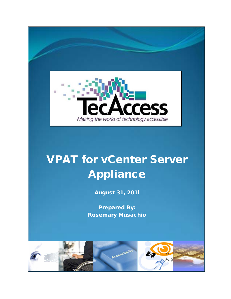

## VPAT for vCenter Server Appliance

August 31, 201l

Prepared By: Rosemary Musachio

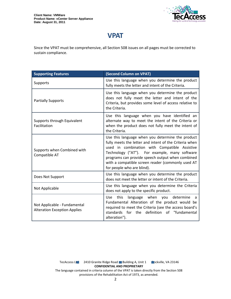

## **VPAT**

Since the VPAT must be comprehensive, all Section 508 issues on all pages must be corrected to sustain compliance.

| <b>Supporting Features</b>                                          | (Second Column on VPAT)                                                                                                                                                                                                                                                                                                                             |
|---------------------------------------------------------------------|-----------------------------------------------------------------------------------------------------------------------------------------------------------------------------------------------------------------------------------------------------------------------------------------------------------------------------------------------------|
| Supports                                                            | Use this language when you determine the product<br>fully meets the letter and intent of the Criteria.                                                                                                                                                                                                                                              |
| <b>Partially Supports</b>                                           | Use this language when you determine the product<br>does not fully meet the letter and intent of the<br>Criteria, but provides some level of access relative to<br>the Criteria.                                                                                                                                                                    |
| Supports through Equivalent<br>Facilitation                         | Use this language when you have identified an<br>alternate way to meet the intent of the Criteria or<br>when the product does not fully meet the intent of<br>the Criteria.                                                                                                                                                                         |
| Supports when Combined with<br>Compatible AT                        | Use this language when you determine the product<br>fully meets the letter and intent of the Criteria when<br>used in combination with Compatible Assistive<br>Technology ("AT"). For example, many software<br>programs can provide speech output when combined<br>with a compatible screen reader (commonly used AT<br>for people who are blind). |
| Does Not Support                                                    | Use this language when you determine the product<br>does not meet the letter or intent of the Criteria.                                                                                                                                                                                                                                             |
| Not Applicable                                                      | Use this language when you determine the Criteria<br>does not apply to the specific product.                                                                                                                                                                                                                                                        |
| Not Applicable - Fundamental<br><b>Alteration Exception Applies</b> | language when you<br>this<br>determine<br>Use<br>a<br>Fundamental Alteration of the product would be<br>required to meet the Criteria (see the access board's<br>standards for the definition of "fundamental<br>alteration").                                                                                                                      |

TecAccess LLC 2410 Granite Ridge Road Building A, Unit 1 Dckville, VA 23146 **CONFIDENTIAL AND PROPRIETARY** The language contained in criteria column of the VPAT is taken directly from the Section 508 provisions of the Rehabilitation Act of 1973, as amended.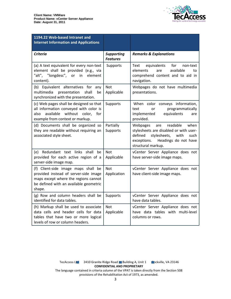

| 1194.22 Web-based Intranet and<br><b>Internet Information and Applications</b>                                                                                           |                                      |                                                                                                                                                                                       |
|--------------------------------------------------------------------------------------------------------------------------------------------------------------------------|--------------------------------------|---------------------------------------------------------------------------------------------------------------------------------------------------------------------------------------|
| <b>Criteria</b>                                                                                                                                                          | <b>Supporting</b><br><b>Features</b> | <b>Remarks &amp; Explanations</b>                                                                                                                                                     |
| (a) A text equivalent for every non-text<br>element shall be provided (e.g., via<br>"alt", "longdesc", or<br>element<br>in<br>content).                                  | Supports                             | equivalents<br>for<br>Text<br>non-text<br>available<br>elements<br>are<br>to<br>comprehend content and to aid in<br>navigation.                                                       |
| (b) Equivalent alternatives for any<br>multimedia<br>shall<br>presentation<br>be<br>synchronized with the presentation.                                                  | <b>Not</b><br>Applicable             | Webpages do not have multimedia<br>presentations.                                                                                                                                     |
| (c) Web pages shall be designed so that<br>all information conveyed with color is<br>without color,<br>available<br>for<br>also<br>example from context or markup.       | Supports                             | When color conveys information,<br>programmatically<br>text<br>or<br>implemented<br>equivalents<br>are<br>provided.                                                                   |
| (d) Documents shall be organized so<br>they are readable without requiring an<br>associated style sheet.                                                                 | Partially<br>Supports                | readable<br>when<br>Webpages<br>are<br>stylesheets are disabled or with user-<br>defined<br>stylesheets,<br>with<br>such<br>exceptions.<br>Headings do not have<br>structural markup. |
| Redundant text links shall<br>(e)<br>be<br>provided for each active region of a<br>server-side image map.                                                                | <b>Not</b><br>Applicable             | vCenter Server Appliance does not<br>have server-side image maps.                                                                                                                     |
| (f) Client-side image maps shall be<br>provided instead of server-side image<br>maps except where the regions cannot<br>be defined with an available geometric<br>shape. | <b>Not</b><br>Application            | vCenter Server Appliance does not<br>have client-side image maps.                                                                                                                     |
| (g) Row and column headers shall be<br>identified for data tables.                                                                                                       | Supports                             | vCenter Server Appliance does not<br>have data tables.                                                                                                                                |
| (h) Markup shall be used to associate<br>data cells and header cells for data<br>tables that have two or more logical<br>levels of row or column headers.                | <b>Not</b><br>Applicable             | vCenter Server Appliance does not<br>have data tables with multi-level<br>columns or rows.                                                                                            |

TecAccess L**LC** 2410 Granite Ridge Road Building A, Unit 1 **Rockville, VA 23146 CONFIDENTIAL AND PROPRIETARY**

The language contained in criteria column of the VPAT is taken directly from the Section 508 provisions of the Rehabilitation Act of 1973, as amended.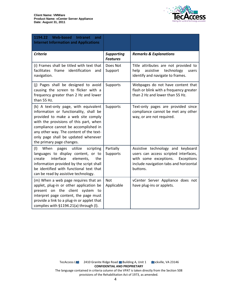

| 1194.22 Web-based Intranet<br>and<br><b>Internet Information and Applications</b>                                                                                                                                                                                                                                      |                                      |                                                                                                                                                                         |
|------------------------------------------------------------------------------------------------------------------------------------------------------------------------------------------------------------------------------------------------------------------------------------------------------------------------|--------------------------------------|-------------------------------------------------------------------------------------------------------------------------------------------------------------------------|
| <b>Criteria</b>                                                                                                                                                                                                                                                                                                        | <b>Supporting</b><br><b>Features</b> | <b>Remarks &amp; Explanations</b>                                                                                                                                       |
| (i) Frames shall be titled with text that<br>facilitates frame identification<br>and<br>navigation.                                                                                                                                                                                                                    | Does Not<br>Support                  | Title attributes are not provided to<br>assistive<br>technology<br>help<br>users<br>identify and navigate to frames.                                                    |
| (j) Pages shall be designed to avoid<br>causing the screen to flicker with a<br>frequency greater than 2 Hz and lower<br>than 55 Hz.                                                                                                                                                                                   | Supports                             | Webpages do not have content that<br>flash or blink with a frequency greater<br>than 2 Hz and lower than 55 Hz.                                                         |
| (k) A text-only page, with equivalent<br>information or functionality, shall be<br>provided to make a web site comply<br>with the provisions of this part, when<br>compliance cannot be accomplished in<br>any other way. The content of the text-<br>only page shall be updated whenever<br>the primary page changes. | Supports                             | Text-only pages are provided since<br>compliance cannot be met any other<br>way, or are not required.                                                                   |
| (1)<br>When<br>utilize<br>scripting<br>pages<br>languages to display content, or to<br>interface<br>elements,<br>create<br>the<br>information provided by the script shall<br>be identified with functional text that<br>can be read by assistive technology.                                                          | Partially<br>Supports                | Assistive technology and keyboard<br>users can access scripted interfaces,<br>with some exceptions.<br>Exceptions<br>include navigation tabs and horizontal<br>buttons. |
| (m) When a web page requires that an<br>applet, plug-in or other application be<br>present on the client system to<br>interpret page content, the page must<br>provide a link to a plug-in or applet that<br>complies with §1194.21(a) through (I).                                                                    | <b>Not</b><br>Applicable             | vCenter Server Appliance does not<br>have plug-ins or applets.                                                                                                          |

TecAccess L**LC** 2410 Granite Ridge Road Building A, Unit 1 **Rockville, VA 23146 CONFIDENTIAL AND PROPRIETARY**

The language contained in criteria column of the VPAT is taken directly from the Section 508 provisions of the Rehabilitation Act of 1973, as amended.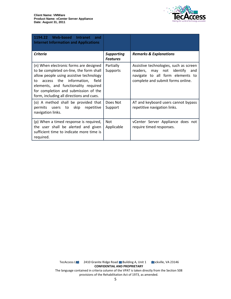

| 1194.22 Web-based<br>Intranet<br>and<br><b>Internet Information and Applications</b>                                                                                                                                                                                                            |                                      |                                                                                                                                                     |
|-------------------------------------------------------------------------------------------------------------------------------------------------------------------------------------------------------------------------------------------------------------------------------------------------|--------------------------------------|-----------------------------------------------------------------------------------------------------------------------------------------------------|
| Criteria                                                                                                                                                                                                                                                                                        | <b>Supporting</b><br><b>Features</b> | <b>Remarks &amp; Explanations</b>                                                                                                                   |
| (n) When electronic forms are designed<br>to be completed on-line, the form shall<br>allow people using assistive technology<br>access the information, field<br>to<br>elements, and functionality required<br>for completion and submission of the<br>form, including all directions and cues. | Partially<br>Supports                | Assistive technologies, such as screen<br>readers, may not identify<br>and<br>navigate to all form elements to<br>complete and submit forms online. |
| (o) A method shall be provided that<br>permits<br>users to skip<br>repetitive<br>navigation links.                                                                                                                                                                                              | Does Not<br>Support                  | AT and keyboard users cannot bypass<br>repetitive navigation links.                                                                                 |
| (p) When a timed response is required,<br>the user shall be alerted and given<br>sufficient time to indicate more time is<br>required.                                                                                                                                                          | <b>Not</b><br>Applicable             | vCenter Server Appliance does not<br>require timed responses.                                                                                       |

TecAccess L**LC** 2410 Granite Ridge Road Building A, Unit 1 **Rockville, VA 23146 CONFIDENTIAL AND PROPRIETARY** The language contained in criteria column of the VPAT is taken directly from the Section 508 provisions of the Rehabilitation Act of 1973, as amended.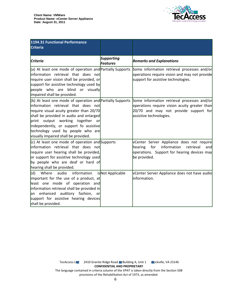

| 1194.31 Functional Performance<br><b>Criteria</b>                                                                                                                                                                                                                                                                                                      |                                      |                                                                                                                                                                  |
|--------------------------------------------------------------------------------------------------------------------------------------------------------------------------------------------------------------------------------------------------------------------------------------------------------------------------------------------------------|--------------------------------------|------------------------------------------------------------------------------------------------------------------------------------------------------------------|
| <b>Criteria</b>                                                                                                                                                                                                                                                                                                                                        | <b>Supporting</b><br><b>Features</b> | <b>Remarks and Explanations</b>                                                                                                                                  |
| (a) At least one mode of operation and Partially Supports<br>linformation retrieval that does not<br>require user vision shall be provided, or<br>support for assistive technology used by<br>people who are blind or visually<br>impaired shall be provided.                                                                                          |                                      | Some information retrieval processes and/or<br>operations require vision and may not provide<br>support for assistive technologies.                              |
| $($ b) At least one mode of operation and Partially Supports<br>linformation retrieval that does not<br>require visual acuity greater than 20/70<br>shall be provided in audio and enlarged<br>print output working together or<br>independently, or support fo assistive<br>technology used by people who are<br>visually impaired shall be provided. |                                      | Some information retrieval processes and/or<br>operations require vision acuity greater than<br>20/70 and may not provide support for<br>assistive technologies. |
| $(c)$ At least one mode of operation and Supports<br>linformation retrieval that does not<br>require user hearing shall be provided,<br>or support for assistive technology used<br>by people who are deaf or hard of<br>hearing shall be provided.                                                                                                    |                                      | vCenter Server Appliance does not require<br>information<br>for<br>hearing<br>retrieval<br>andl<br>operations. Support for hearing devices may<br>be provided.   |
| information<br>(d)<br>Where<br>audio<br>important for the use of a product, at<br>least one mode of operation and<br>information retrieval shall be provided in<br>an enhanced auditory fashion, or<br>support for assistive hearing devices<br>shall be provided.                                                                                     | is Not Applicable                    | vCenter Server Appliance does not have audio<br>linformation.                                                                                                    |

TecAccess L**LC** 2410 Granite Ridge Road Building A, Unit 1 **Rockville, VA 23146 CONFIDENTIAL AND PROPRIETARY** The language contained in criteria column of the VPAT is taken directly from the Section 508

provisions of the Rehabilitation Act of 1973, as amended.